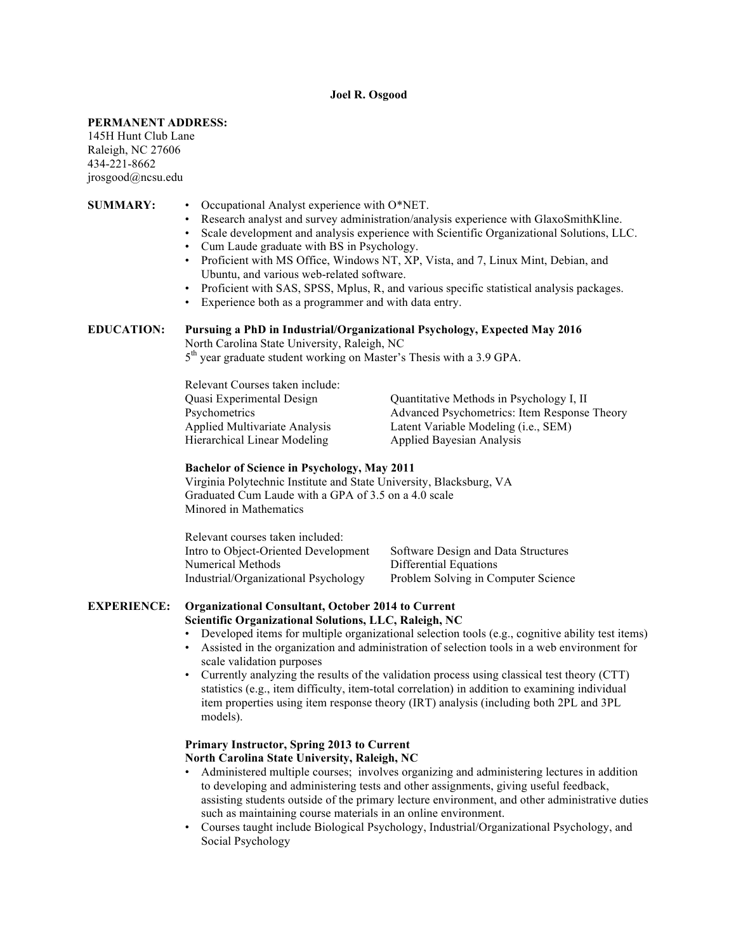### **Joel R. Osgood**

#### **PERMANENT ADDRESS:**

145H Hunt Club Lane Raleigh, NC 27606 434-221-8662 jrosgood@ncsu.edu

# **SUMMARY:** • Occupational Analyst experience with O\*NET.

- Research analyst and survey administration/analysis experience with GlaxoSmithKline.
- Scale development and analysis experience with Scientific Organizational Solutions, LLC.
- Cum Laude graduate with BS in Psychology.
- Proficient with MS Office, Windows NT, XP, Vista, and 7, Linux Mint, Debian, and Ubuntu, and various web-related software.
- Proficient with SAS, SPSS, Mplus, R, and various specific statistical analysis packages.
- Experience both as a programmer and with data entry.

# **EDUCATION: Pursuing a PhD in Industrial/Organizational Psychology, Expected May 2016**

North Carolina State University, Raleigh, NC

5<sup>th</sup> year graduate student working on Master's Thesis with a 3.9 GPA.

| Quantitative Methods in Psychology I, II      |
|-----------------------------------------------|
| Advanced Psychometrics: Item Response Theory  |
| Latent Variable Modeling ( <i>i.e.</i> , SEM) |
| <b>Applied Bayesian Analysis</b>              |
|                                               |

## **Bachelor of Science in Psychology, May 2011**

Virginia Polytechnic Institute and State University, Blacksburg, VA Graduated Cum Laude with a GPA of 3.5 on a 4.0 scale Minored in Mathematics

| Relevant courses taken included:     |                                     |
|--------------------------------------|-------------------------------------|
| Intro to Object-Oriented Development | Software Design and Data Structures |
| Numerical Methods                    | Differential Equations              |
| Industrial/Organizational Psychology | Problem Solving in Computer Science |

### **EXPERIENCE: Organizational Consultant, October 2014 to Current Scientific Organizational Solutions, LLC, Raleigh, NC**

- Developed items for multiple organizational selection tools (e.g., cognitive ability test items)
- Assisted in the organization and administration of selection tools in a web environment for scale validation purposes
- Currently analyzing the results of the validation process using classical test theory (CTT) statistics (e.g., item difficulty, item-total correlation) in addition to examining individual item properties using item response theory (IRT) analysis (including both 2PL and 3PL models).

# **Primary Instructor, Spring 2013 to Current North Carolina State University, Raleigh, NC**

- Administered multiple courses; involves organizing and administering lectures in addition to developing and administering tests and other assignments, giving useful feedback, assisting students outside of the primary lecture environment, and other administrative duties such as maintaining course materials in an online environment.
- Courses taught include Biological Psychology, Industrial/Organizational Psychology, and Social Psychology